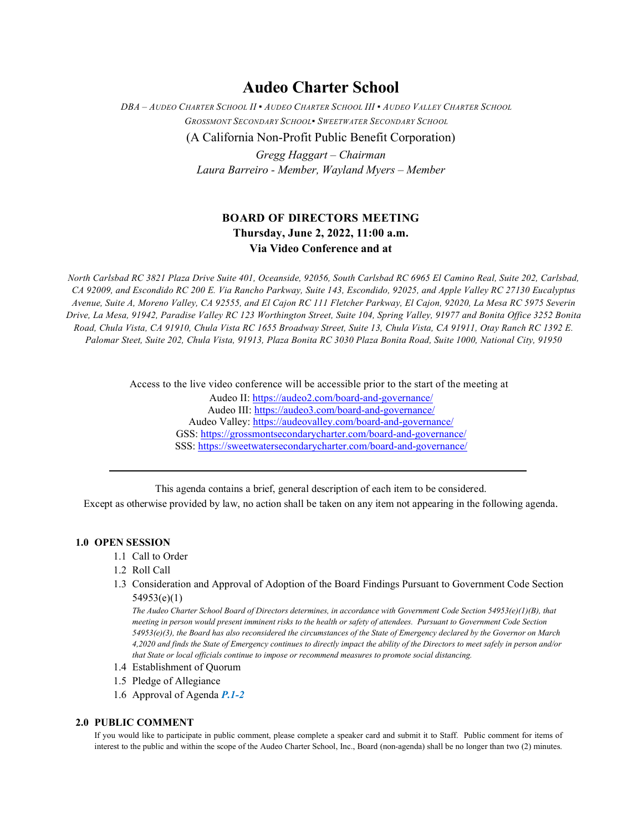# **Audeo Charter School**

*DBA – AUDEO CHARTER SCHOOL II ▪ AUDEO CHARTER SCHOOL III ▪ AUDEO VALLEY CHARTER SCHOOL GROSSMONT SECONDARY SCHOOL▪ SWEETWATER SECONDARY SCHOOL*

(A California Non-Profit Public Benefit Corporation)

*Gregg Haggart – Chairman Laura Barreiro - Member, Wayland Myers – Member*

## **BOARD OF DIRECTORS MEETING Thursday, June 2, 2022, 11:00 a.m. Via Video Conference and at**

*North Carlsbad RC 3821 Plaza Drive Suite 401, Oceanside, 92056, South Carlsbad RC 6965 El Camino Real, Suite 202, Carlsbad, CA 92009, and Escondido RC 200 E. Via Rancho Parkway, Suite 143, Escondido, 92025, and Apple Valley RC 27130 Eucalyptus Avenue, Suite A, Moreno Valley, CA 92555, and El Cajon RC 111 Fletcher Parkway, El Cajon, 92020, La Mesa RC 5975 Severin Drive, La Mesa, 91942, Paradise Valley RC 123 Worthington Street, Suite 104, Spring Valley, 91977 and Bonita Office 3252 Bonita Road, Chula Vista, CA 91910, Chula Vista RC 1655 Broadway Street, Suite 13, Chula Vista, CA 91911, Otay Ranch RC 1392 E. Palomar Steet, Suite 202, Chula Vista, 91913, Plaza Bonita RC 3030 Plaza Bonita Road, Suite 1000, National City, 91950*

Access to the live video conference will be accessible prior to the start of the meeting at

Audeo II[: https://audeo2.com/board-and-governance/](https://audeo2.com/board-and-governance/) Audeo III:<https://audeo3.com/board-and-governance/> Audeo Valley:<https://audeovalley.com/board-and-governance/> GSS:<https://grossmontsecondarycharter.com/board-and-governance/> SSS:<https://sweetwatersecondarycharter.com/board-and-governance/>

This agenda contains a brief, general description of each item to be considered.

Except as otherwise provided by law, no action shall be taken on any item not appearing in the following agenda.

#### **1.0 OPEN SESSION**

- 1.1 Call to Order
- 1.2 Roll Call
- 1.3 Consideration and Approval of Adoption of the Board Findings Pursuant to Government Code Section 54953(e)(1)

*The Audeo Charter School Board of Directors determines, in accordance with Government Code Section 54953(e)(1)(B), that meeting in person would present imminent risks to the health or safety of attendees. Pursuant to Government Code Section 54953(e)(3), the Board has also reconsidered the circumstances of the State of Emergency declared by the Governor on March 4,2020 and finds the State of Emergency continues to directly impact the ability of the Directors to meet safely in person and/or that State or local officials continue to impose or recommend measures to promote social distancing.*

- 1.4 Establishment of Quorum
- 1.5 Pledge of Allegiance
- 1.6 Approval of Agenda *P.1-2*

#### **2.0 PUBLIC COMMENT**

If you would like to participate in public comment, please complete a speaker card and submit it to Staff. Public comment for items of interest to the public and within the scope of the Audeo Charter School, Inc., Board (non-agenda) shall be no longer than two (2) minutes.